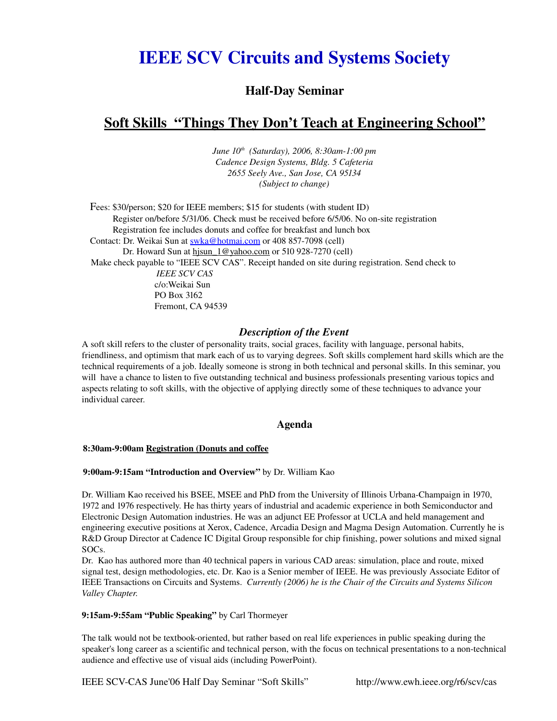# **IEEE SCV Circuits and Systems Society**

### **Half-Day Seminar**

## Soft Skills "Things They Don't Teach at Engineering School"

*June 10 th (Saturday), 2006, 8:30am1:00 pm Cadence Design Systems, Bldg. 5 Cafeteria 2655 Seely Ave., San Jose, CA 95134 (Subject to change)*

Fees: \$30/person; \$20 for IEEE members; \$15 for students (with student ID) Register on/before 5/31/06. Check must be received before 6/5/06. No on-site registration Registration fee includes donuts and coffee for breakfast and lunch box Contact: Dr. Weikai Sun at [swka@hotmai.com](mailto:swka@hotmai.com) or 408 857-7098 (cell) Dr. Howard Sun at hisun  $1@$ yahoo.com or 510 928-7270 (cell) Make check payable to "IEEE SCV CAS". Receipt handed on site during registration. Send check to  *IEEE SCV CAS* c/o:Weikai Sun PO Box 3162 Fremont, CA 94539

#### *Description of the Event*

A soft skill refers to the cluster of personality traits, social graces, facility with language, personal habits, friendliness, and optimism that mark each of us to varying degrees. Soft skills complement hard skills which are the technical requirements of a job. Ideally someone is strong in both technical and personal skills. In this seminar, you will have a chance to listen to five outstanding technical and business professionals presenting various topics and aspects relating to soft skills, with the objective of applying directly some of these techniques to advance your individual career.

#### Agenda

#### 8:30am9:00am Registration (Donuts and coffee

#### 9:00am9:15am "Introduction and Overview" by Dr. William Kao

Dr. William Kao received his BSEE, MSEE and PhD from the University of Illinois Urbana-Champaign in 1970, 1972 and 1976 respectively. He has thirty years of industrial and academic experience in both Semiconductor and Electronic Design Automation industries. He was an adjunct EE Professor at UCLA and held management and engineering executive positions at Xerox, Cadence, Arcadia Design and Magma Design Automation. Currently he is R&D Group Director at Cadence IC Digital Group responsible for chip finishing, power solutions and mixed signal SOCs.

Dr. Kao has authored more than 40 technical papers in various CAD areas: simulation, place and route, mixed signal test, design methodologies, etc. Dr. Kao is a Senior member of IEEE. He was previously Associate Editor of IEEE Transactions on Circuits and Systems. *Currently (2006) he is the Chair of the Circuits and Systems Silicon Valley Chapter.*

#### 9:15am-9:55am "Public Speaking" by Carl Thormeyer

The talk would not be textbook-oriented, but rather based on real life experiences in public speaking during the speaker's long career as a scientific and technical person, with the focus on technical presentations to a non-technical audience and effective use of visual aids (including PowerPoint).

IEEE SCV-CAS June'06 Half Day Seminar "Soft Skills" http://www.ewh.ieee.org/r6/scv/cas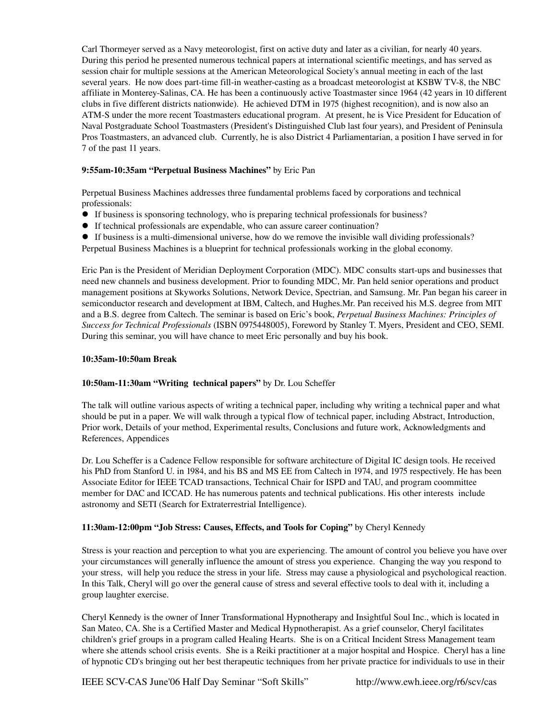Carl Thormeyer served as a Navy meteorologist, first on active duty and later as a civilian, for nearly 40 years. During this period he presented numerous technical papers at international scientific meetings, and has served as session chair for multiple sessions at the American Meteorological Society's annual meeting in each of the last several years. He now does part-time fill-in weather-casting as a broadcast meteorologist at KSBW TV-8, the NBC affiliate in Monterey-Salinas, CA. He has been a continuously active Toastmaster since 1964 (42 years in 10 different clubs in five different districts nationwide). He achieved DTM in 1975 (highest recognition), and is now also an ATMS under the more recent Toastmasters educational program. At present, he is Vice President for Education of Naval Postgraduate School Toastmasters (President's Distinguished Club last four years), and President of Peninsula Pros Toastmasters, an advanced club. Currently, he is also District 4 Parliamentarian, a position I have served in for 7 of the past 11 years.

#### 9:55am-10:35am "Perpetual Business Machines" by Eric Pan

Perpetual Business Machines addresses three fundamental problems faced by corporations and technical professionals:

- If business is sponsoring technology, who is preparing technical professionals for business?
- If technical professionals are expendable, who can assure career continuation?
- $\bullet$  If business is a multi-dimensional universe, how do we remove the invisible wall dividing professionals?

Perpetual Business Machines is a blueprint for technical professionals working in the global economy.

Eric Pan is the President of Meridian Deployment Corporation (MDC). MDC consults start-ups and businesses that need new channels and business development. Prior to founding MDC, Mr. Pan held senior operations and product management positions at Skyworks Solutions, Network Device, Spectrian, and Samsung. Mr. Pan began his career in semiconductor research and development at IBM, Caltech, and Hughes.Mr. Pan received his M.S. degree from MIT and a B.S. degree from Caltech. The seminar is based on Eric's book, *Perpetual Business Machines: Principles of Success for Technical Professionals* (ISBN 0975448005), Foreword by Stanley T. Myers, President and CEO, SEMI. During this seminar, you will have chance to meet Eric personally and buy his book.

#### 10:35am10:50am Break

#### 10:50am-11:30am "Writing technical papers" by Dr. Lou Scheffer

The talk will outline various aspects of writing a technical paper, including why writing a technical paper and what should be put in a paper. We will walk through a typical flow of technical paper, including Abstract, Introduction, Prior work, Details of your method, Experimental results, Conclusions and future work, Acknowledgments and References, Appendices

Dr. Lou Scheffer is a Cadence Fellow responsible for software architecture of Digital IC design tools. He received his PhD from Stanford U. in 1984, and his BS and MS EE from Caltech in 1974, and 1975 respectively. He has been Associate Editor for IEEE TCAD transactions, Technical Chair for ISPD and TAU, and program coommittee member for DAC and ICCAD. He has numerous patents and technical publications. His other interests include astronomy and SETI (Search for Extraterrestrial Intelligence).

#### 11:30am12:00pm "Job Stress: Causes, Effects, and Tools for Coping" by Cheryl Kennedy

Stress is your reaction and perception to what you are experiencing. The amount of control you believe you have over your circumstances will generally influence the amount of stress you experience. Changing the way you respond to your stress, will help you reduce the stress in your life. Stress may cause a physiological and psychological reaction. In this Talk, Cheryl will go over the general cause of stress and several effective tools to deal with it, including a group laughter exercise.

Cheryl Kennedy is the owner of Inner Transformational Hypnotherapy and Insightful Soul Inc., which is located in San Mateo, CA. She is a Certified Master and Medical Hypnotherapist. As a grief counselor, Cheryl facilitates children's grief groups in a program called Healing Hearts. She is on a Critical Incident Stress Management team where she attends school crisis events. She is a Reiki practitioner at a major hospital and Hospice. Cheryl has a line of hypnotic CD's bringing out her best therapeutic techniques from her private practice for individuals to use in their